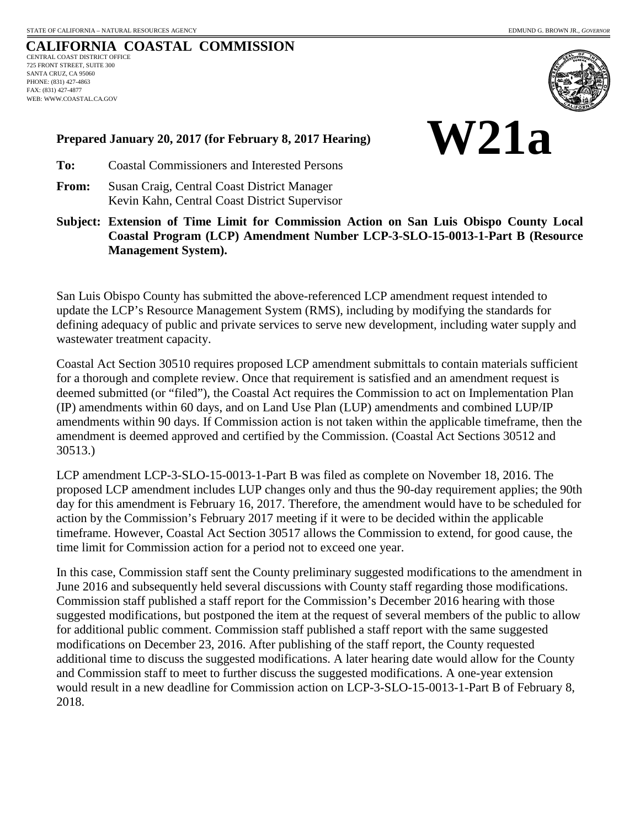**W21a**

## **CALIFORNIA COASTAL COMMISSION** CENTRAL COAST DISTRICT OFFICE 725 FRONT STREET, SUITE 300 SANTA CRUZ, CA 95060 PHONE: (831) 427-4863 FAX: (831) 427-4877 WEB: WWW.COASTAL.CA.GOV



**Prepared January 20, 2017 (for February 8, 2017 Hearing)**

- **To:** Coastal Commissioners and Interested Persons
- **From:** Susan Craig, Central Coast District Manager Kevin Kahn, Central Coast District Supervisor
- **Subject: Extension of Time Limit for Commission Action on San Luis Obispo County Local Coastal Program (LCP) Amendment Number LCP-3-SLO-15-0013-1-Part B (Resource Management System).**

San Luis Obispo County has submitted the above-referenced LCP amendment request intended to update the LCP's Resource Management System (RMS), including by modifying the standards for defining adequacy of public and private services to serve new development, including water supply and wastewater treatment capacity.

Coastal Act Section 30510 requires proposed LCP amendment submittals to contain materials sufficient for a thorough and complete review. Once that requirement is satisfied and an amendment request is deemed submitted (or "filed"), the Coastal Act requires the Commission to act on Implementation Plan (IP) amendments within 60 days, and on Land Use Plan (LUP) amendments and combined LUP/IP amendments within 90 days. If Commission action is not taken within the applicable timeframe, then the amendment is deemed approved and certified by the Commission. (Coastal Act Sections 30512 and 30513.)

LCP amendment LCP-3-SLO-15-0013-1-Part B was filed as complete on November 18, 2016. The proposed LCP amendment includes LUP changes only and thus the 90-day requirement applies; the 90th day for this amendment is February 16, 2017. Therefore, the amendment would have to be scheduled for action by the Commission's February 2017 meeting if it were to be decided within the applicable timeframe. However, Coastal Act Section 30517 allows the Commission to extend, for good cause, the time limit for Commission action for a period not to exceed one year.

In this case, Commission staff sent the County preliminary suggested modifications to the amendment in June 2016 and subsequently held several discussions with County staff regarding those modifications. Commission staff published a staff report for the Commission's December 2016 hearing with those suggested modifications, but postponed the item at the request of several members of the public to allow for additional public comment. Commission staff published a staff report with the same suggested modifications on December 23, 2016. After publishing of the staff report, the County requested additional time to discuss the suggested modifications. A later hearing date would allow for the County and Commission staff to meet to further discuss the suggested modifications. A one-year extension would result in a new deadline for Commission action on LCP-3-SLO-15-0013-1-Part B of February 8, 2018.